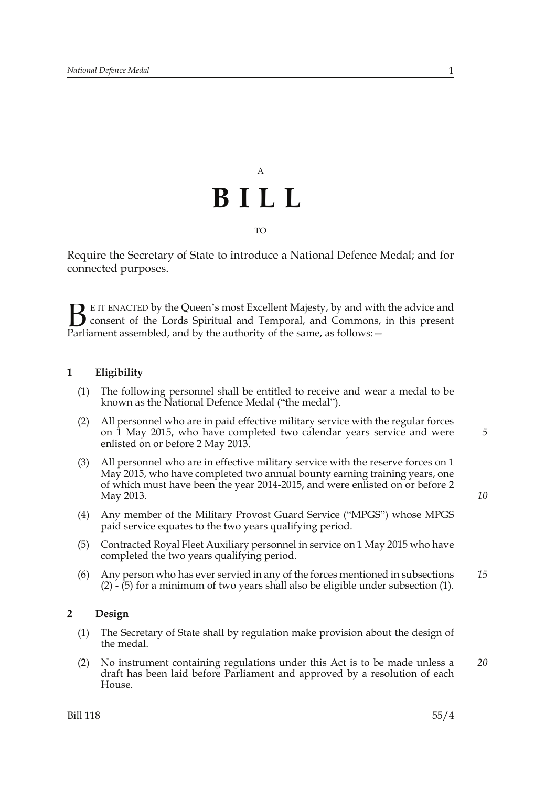# A **BILL** TO

Require the Secretary of State to introduce a National Defence Medal; and for connected purposes.

E IT ENACTED by the Queen's most Excellent Majesty, by and with the advice and consent of the Lords Spiritual and Temporal, and Commons, in this present **B** E IT ENACTED by the Queen's most Excellent Majesty, by and with consent of the Lords Spiritual and Temporal, and Commons, Parliament assembled, and by the authority of the same, as follows:  $-$ 

### **1 Eligibility**

- (1) The following personnel shall be entitled to receive and wear a medal to be known as the National Defence Medal ("the medal").
- (2) All personnel who are in paid effective military service with the regular forces on 1 May 2015, who have completed two calendar years service and were enlisted on or before 2 May 2013.
- (3) All personnel who are in effective military service with the reserve forces on 1 May 2015, who have completed two annual bounty earning training years, one of which must have been the year 2014-2015, and were enlisted on or before 2 May 2013.
- (4) Any member of the Military Provost Guard Service ("MPGS") whose MPGS paid service equates to the two years qualifying period.
- (5) Contracted Royal Fleet Auxiliary personnel in service on 1 May 2015 who have completed the two years qualifying period.
- (6) Any person who has ever servied in any of the forces mentioned in subsections (2) - (5) for a minimum of two years shall also be eligible under subsection (1). *15*

#### **2 Design**

- (1) The Secretary of State shall by regulation make provision about the design of the medal.
- (2) No instrument containing regulations under this Act is to be made unless a draft has been laid before Parliament and approved by a resolution of each House. *20*

*5*

*10*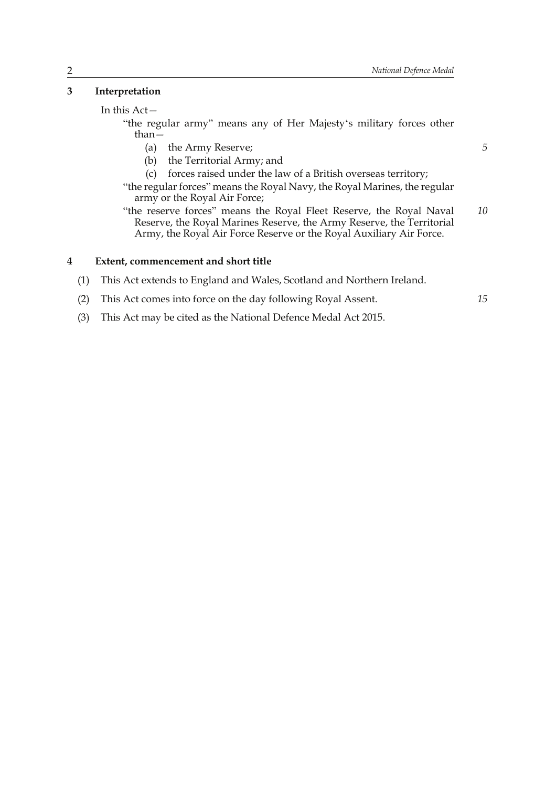*5*

*15*

## **3 Interpretation**

#### In this Act—

"the regular army" means any of Her Majesty's military forces other than—

- (a) the Army Reserve;
- (b) the Territorial Army; and
- (c) forces raised under the law of a British overseas territory;

"the regular forces" means the Royal Navy, the Royal Marines, the regular army or the Royal Air Force;

"the reserve forces" means the Royal Fleet Reserve, the Royal Naval Reserve, the Royal Marines Reserve, the Army Reserve, the Territorial Army, the Royal Air Force Reserve or the Royal Auxiliary Air Force. *10*

### **4 Extent, commencement and short title**

(1) This Act extends to England and Wales, Scotland and Northern Ireland.

- (2) This Act comes into force on the day following Royal Assent.
- (3) This Act may be cited as the National Defence Medal Act 2015.